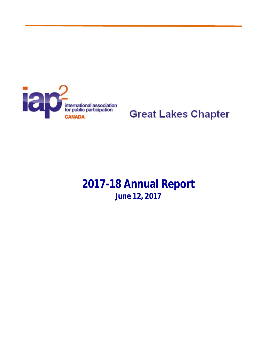

**Great Lakes Chapter** 

**2017-18 Annual Report June 12, 2017**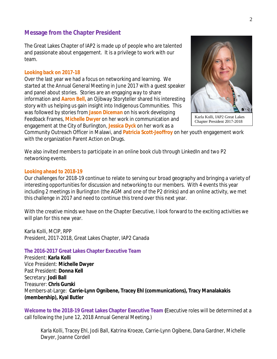## **Message from the Chapter President**

The Great Lakes Chapter of IAP2 is made up of people who are talented and passionate about engagement. It is a privilege to work with our team.

#### **Looking back on 2017-18**

Over the last year we had a focus on networking and learning. We started at the Annual General Meeting in June 2017 with a guest speaker and panel about stories. Stories are an engaging way to share information and **Aaron Bell,** an Ojibway Storyteller shared his interesting story with us helping us gain insight into Indigenous Communities. This was followed by stories from **Jason Diceman** on his work developing Feedback Frames, **Michelle Dwyer** on her work in communication and engagement at the City of Burlington, **Jessica Dyck** on her work as a



Chapter President 2017-2018

Community Outreach Officer in Malawi, and **Patricia Scott-Jeoffroy** on her youth engagement work with the organization Parent Action on Drugs.

We also invited members to participate in an online book club through LinkedIn and two P2 networking events.

#### **Looking ahead to 2018-19**

Our challenges for 2018-19 continue to relate to serving our broad geography and bringing a variety of interesting opportunities for discussion and networking to our members. With 4 events this year including 2 meetings in Burlington (the AGM and one of the P2 drinks) and an online activity, we met this challenge in 2017 and need to continue this trend over this next year.

With the creative minds we have on the Chapter Executive, I look forward to the exciting activities we will plan for this new year.

Karla Kolli, MCIP, RPP President, 2017-2018, Great Lakes Chapter, IAP2 Canada

#### **The 2016-2017 Great Lakes Chapter Executive Team**

President: **Karla Kolli** Vice President: **Michelle Dwyer** Past President: **Donna Kell** Secretary: **Jodi Ball** Treasurer: **Chris Gurski** Members-at-Large: **Carrie-Lynn Ognibene, Tracey Ehl (communications), Tracy Manalakakis (membership), Kyal Butler**

**Welcome to the 2018-19 Great Lakes Chapter Executive Team (**Executive roles will be determined at a call following the June 12, 2018 Annual General Meeting.)

Karla Kolli, Tracey Ehl, Jodi Ball, Katrina Kroeze, Carrie-Lynn Ogibene, Dana Gardner, Michelle Dwyer, Joanne Cordell